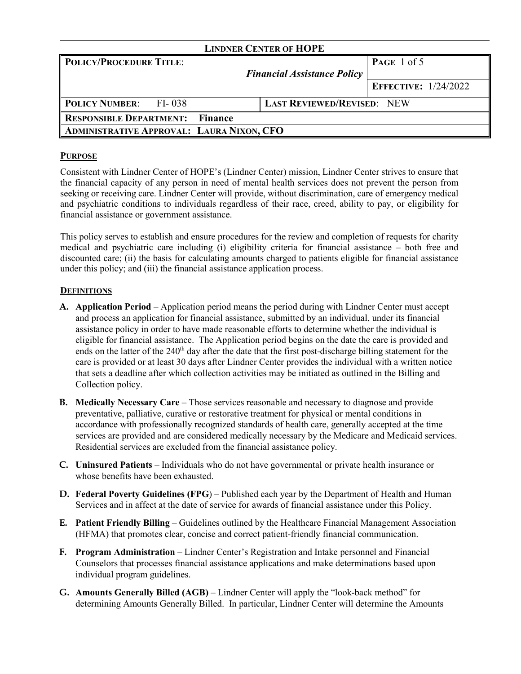| <b>LINDNER CENTER OF HOPE</b>                    |                                    |                             |  |  |  |
|--------------------------------------------------|------------------------------------|-----------------------------|--|--|--|
| <b>POLICY/PROCEDURE TITLE:</b>                   |                                    | PAGE 1 of 5                 |  |  |  |
|                                                  | <b>Financial Assistance Policy</b> |                             |  |  |  |
|                                                  |                                    | <b>EFFECTIVE:</b> 1/24/2022 |  |  |  |
| <b>POLICY NUMBER:</b> FI-038                     | <b>LAST REVIEWED/REVISED: NEW</b>  |                             |  |  |  |
| <b>RESPONSIBLE DEPARTMENT: Finance</b>           |                                    |                             |  |  |  |
| <b>ADMINISTRATIVE APPROVAL: LAURA NIXON, CFO</b> |                                    |                             |  |  |  |

#### **PURPOSE**

Consistent with Lindner Center of HOPE's (Lindner Center) mission, Lindner Center strives to ensure that the financial capacity of any person in need of mental health services does not prevent the person from seeking or receiving care. Lindner Center will provide, without discrimination, care of emergency medical and psychiatric conditions to individuals regardless of their race, creed, ability to pay, or eligibility for financial assistance or government assistance.

This policy serves to establish and ensure procedures for the review and completion of requests for charity medical and psychiatric care including (i) eligibility criteria for financial assistance – both free and discounted care; (ii) the basis for calculating amounts charged to patients eligible for financial assistance under this policy; and (iii) the financial assistance application process.

### **DEFINITIONS**

- **A. Application Period** Application period means the period during with Lindner Center must accept and process an application for financial assistance, submitted by an individual, under its financial assistance policy in order to have made reasonable efforts to determine whether the individual is eligible for financial assistance. The Application period begins on the date the care is provided and ends on the latter of the  $240<sup>th</sup>$  day after the date that the first post-discharge billing statement for the care is provided or at least 30 days after Lindner Center provides the individual with a written notice that sets a deadline after which collection activities may be initiated as outlined in the Billing and Collection policy.
- **B. Medically Necessary Care** Those services reasonable and necessary to diagnose and provide preventative, palliative, curative or restorative treatment for physical or mental conditions in accordance with professionally recognized standards of health care, generally accepted at the time services are provided and are considered medically necessary by the Medicare and Medicaid services. Residential services are excluded from the financial assistance policy.
- **C. Uninsured Patients**  Individuals who do not have governmental or private health insurance or whose benefits have been exhausted.
- **D. Federal Poverty Guidelines (FPG**) Published each year by the Department of Health and Human Services and in affect at the date of service for awards of financial assistance under this Policy.
- **E. Patient Friendly Billing** Guidelines outlined by the Healthcare Financial Management Association (HFMA) that promotes clear, concise and correct patient-friendly financial communication.
- **F. Program Administration** Lindner Center's Registration and Intake personnel and Financial Counselors that processes financial assistance applications and make determinations based upon individual program guidelines.
- **G. Amounts Generally Billed (AGB)** Lindner Center will apply the "look-back method" for determining Amounts Generally Billed. In particular, Lindner Center will determine the Amounts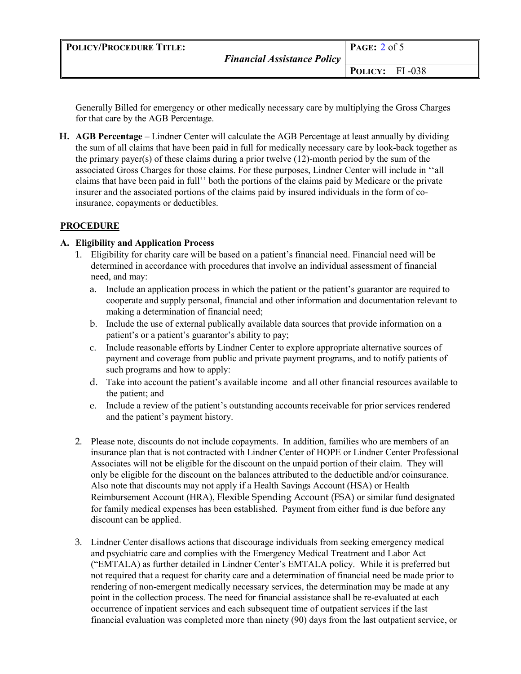| <b>POLICY/PROCEDURE TITLE:</b> | <b>Financial Assistance Policy</b> | PAGE: $2$ of 5        |
|--------------------------------|------------------------------------|-----------------------|
|                                |                                    |                       |
|                                |                                    | <b>POLICY:</b> FI-038 |

Generally Billed for emergency or other medically necessary care by multiplying the Gross Charges for that care by the AGB Percentage.

**H. AGB Percentage** – Lindner Center will calculate the AGB Percentage at least annually by dividing the sum of all claims that have been paid in full for medically necessary care by look-back together as the primary payer(s) of these claims during a prior twelve (12)-month period by the sum of the associated Gross Charges for those claims. For these purposes, Lindner Center will include in ''all claims that have been paid in full'' both the portions of the claims paid by Medicare or the private insurer and the associated portions of the claims paid by insured individuals in the form of coinsurance, copayments or deductibles.

### **PROCEDURE**

### **A. Eligibility and Application Process**

- 1. Eligibility for charity care will be based on a patient's financial need. Financial need will be determined in accordance with procedures that involve an individual assessment of financial need, and may:
	- a. Include an application process in which the patient or the patient's guarantor are required to cooperate and supply personal, financial and other information and documentation relevant to making a determination of financial need;
	- b. Include the use of external publically available data sources that provide information on a patient's or a patient's guarantor's ability to pay;
	- c. Include reasonable efforts by Lindner Center to explore appropriate alternative sources of payment and coverage from public and private payment programs, and to notify patients of such programs and how to apply:
	- d. Take into account the patient's available income and all other financial resources available to the patient; and
	- e. Include a review of the patient's outstanding accounts receivable for prior services rendered and the patient's payment history.
- 2. Please note, discounts do not include copayments. In addition, families who are members of an insurance plan that is not contracted with Lindner Center of HOPE or Lindner Center Professional Associates will not be eligible for the discount on the unpaid portion of their claim. They will only be eligible for the discount on the balances attributed to the deductible and/or coinsurance. Also note that discounts may not apply if a Health Savings Account (HSA) or Health Reimbursement Account (HRA), Flexible Spending Account (FSA) or similar fund designated for family medical expenses has been established. Payment from either fund is due before any discount can be applied.
- 3. Lindner Center disallows actions that discourage individuals from seeking emergency medical and psychiatric care and complies with the Emergency Medical Treatment and Labor Act ("EMTALA) as further detailed in Lindner Center's EMTALA policy. While it is preferred but not required that a request for charity care and a determination of financial need be made prior to rendering of non-emergent medically necessary services, the determination may be made at any point in the collection process. The need for financial assistance shall be re-evaluated at each occurrence of inpatient services and each subsequent time of outpatient services if the last financial evaluation was completed more than ninety (90) days from the last outpatient service, or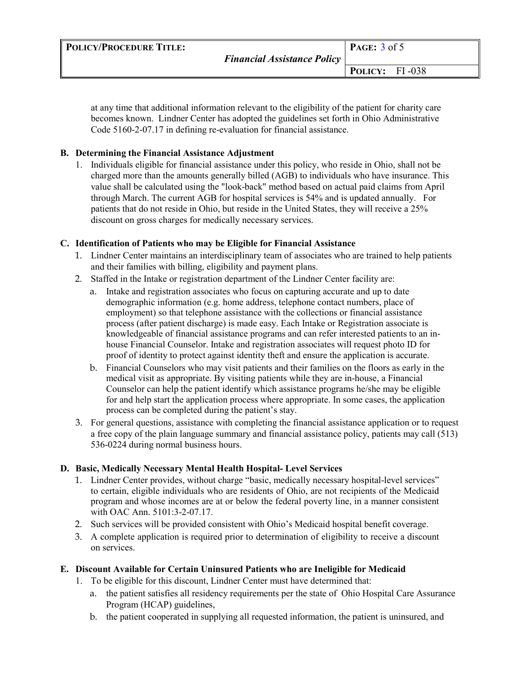| <b>POLICY/PROCEDURE TITLE:</b> | <b>Financial Assistance Policy</b> | PAGE: $3$ of 5        |  |
|--------------------------------|------------------------------------|-----------------------|--|
|                                |                                    | <b>POLICY:</b> FI-038 |  |

at any time that additional information relevant to the eligibility of the patient for charity care becomes known. Lindner Center has adopted the guidelines set forth in Ohio Administrative Code 5160-2-07.17 in defining re-evaluation for financial assistance.

## **B. Determining the Financial Assistance Adjustment**

1. Individuals eligible for financial assistance under this policy, who reside in Ohio, shall not be charged more than the amounts generally billed (AGB) to individuals who have insurance. This value shall be calculated using the "look-back" method based on actual paid claims from April through March. The current AGB for hospital services is 54% and is updated annually. For patients that do not reside in Ohio, but reside in the United States, they will receive a 25% discount on gross charges for medically necessary services.

## **C. Identification of Patients who may be Eligible for Financial Assistance**

- 1. Lindner Center maintains an interdisciplinary team of associates who are trained to help patients and their families with billing, eligibility and payment plans.
- 2. Staffed in the Intake or registration department of the Lindner Center facility are:
	- a. Intake and registration associates who focus on capturing accurate and up to date demographic information (e.g. home address, telephone contact numbers, place of employment) so that telephone assistance with the collections or financial assistance process (after patient discharge) is made easy. Each Intake or Registration associate is knowledgeable of financial assistance programs and can refer interested patients to an inhouse Financial Counselor. Intake and registration associates will request photo ID for proof of identity to protect against identity theft and ensure the application is accurate.
	- b. Financial Counselors who may visit patients and their families on the floors as early in the medical visit as appropriate. By visiting patients while they are in-house, a Financial Counselor can help the patient identify which assistance programs he/she may be eligible for and help start the application process where appropriate. In some cases, the application process can be completed during the patient's stay.
- 3. For general questions, assistance with completing the financial assistance application or to request a free copy of the plain language summary and financial assistance policy, patients may call (513) 536-0224 during normal business hours.

# **D. Basic, Medically Necessary Mental Health Hospital- Level Services**

- 1. Lindner Center provides, without charge "basic, medically necessary hospital-level services" to certain, eligible individuals who are residents of Ohio, are not recipients of the Medicaid program and whose incomes are at or below the federal poverty line, in a manner consistent with OAC Ann. 5101:3-2-07.17.
- 2. Such services will be provided consistent with Ohio's Medicaid hospital benefit coverage.
- 3. A complete application is required prior to determination of eligibility to receive a discount on services.

# **E. Discount Available for Certain Uninsured Patients who are Ineligible for Medicaid**

- 1. To be eligible for this discount, Lindner Center must have determined that:
	- a. the patient satisfies all residency requirements per the state of Ohio Hospital Care Assurance Program (HCAP) guidelines,
	- b. the patient cooperated in supplying all requested information, the patient is uninsured, and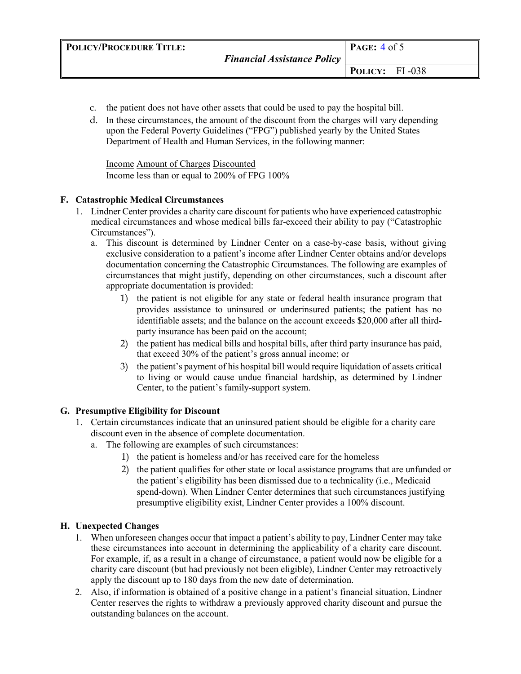- c. the patient does not have other assets that could be used to pay the hospital bill.
- d. In these circumstances, the amount of the discount from the charges will vary depending upon the Federal Poverty Guidelines ("FPG") published yearly by the United States Department of Health and Human Services, in the following manner:

Income Amount of Charges Discounted Income less than or equal to 200% of FPG 100%

### **F. Catastrophic Medical Circumstances**

- 1. Lindner Center provides a charity care discount for patients who have experienced catastrophic medical circumstances and whose medical bills far-exceed their ability to pay ("Catastrophic Circumstances").
	- a. This discount is determined by Lindner Center on a case-by-case basis, without giving exclusive consideration to a patient's income after Lindner Center obtains and/or develops documentation concerning the Catastrophic Circumstances. The following are examples of circumstances that might justify, depending on other circumstances, such a discount after appropriate documentation is provided:
		- 1) the patient is not eligible for any state or federal health insurance program that provides assistance to uninsured or underinsured patients; the patient has no identifiable assets; and the balance on the account exceeds \$20,000 after all thirdparty insurance has been paid on the account;
		- 2) the patient has medical bills and hospital bills, after third party insurance has paid, that exceed 30% of the patient's gross annual income; or
		- 3) the patient's payment of his hospital bill would require liquidation of assets critical to living or would cause undue financial hardship, as determined by Lindner Center, to the patient's family-support system.

## **G. Presumptive Eligibility for Discount**

- 1. Certain circumstances indicate that an uninsured patient should be eligible for a charity care discount even in the absence of complete documentation.
	- a. The following are examples of such circumstances:
		- 1) the patient is homeless and/or has received care for the homeless
		- 2) the patient qualifies for other state or local assistance programs that are unfunded or the patient's eligibility has been dismissed due to a technicality (i.e., Medicaid spend-down). When Lindner Center determines that such circumstances justifying presumptive eligibility exist, Lindner Center provides a 100% discount.

## **H. Unexpected Changes**

- 1. When unforeseen changes occur that impact a patient's ability to pay, Lindner Center may take these circumstances into account in determining the applicability of a charity care discount. For example, if, as a result in a change of circumstance, a patient would now be eligible for a charity care discount (but had previously not been eligible), Lindner Center may retroactively apply the discount up to 180 days from the new date of determination.
- 2. Also, if information is obtained of a positive change in a patient's financial situation, Lindner Center reserves the rights to withdraw a previously approved charity discount and pursue the outstanding balances on the account.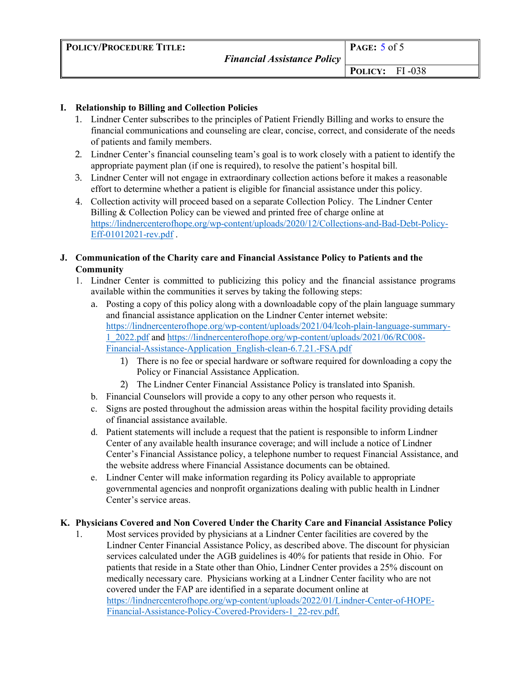| <b>POLICY/PROCEDURE TITLE:</b> | <b>Financial Assistance Policy</b> | PAGE: $5$ of $5$ |  |
|--------------------------------|------------------------------------|------------------|--|
|                                |                                    | POLICY: FI-038   |  |

## **I. Relationship to Billing and Collection Policies**

- 1. Lindner Center subscribes to the principles of Patient Friendly Billing and works to ensure the financial communications and counseling are clear, concise, correct, and considerate of the needs of patients and family members.
- 2. Lindner Center's financial counseling team's goal is to work closely with a patient to identify the appropriate payment plan (if one is required), to resolve the patient's hospital bill.
- 3. Lindner Center will not engage in extraordinary collection actions before it makes a reasonable effort to determine whether a patient is eligible for financial assistance under this policy.
- 4. Collection activity will proceed based on a separate Collection Policy. The Lindner Center Billing & Collection Policy can be viewed and printed free of charge online at [https://lindnercenterofhope.org/wp-content/uploads/2020/12/Collections-and-Bad-Debt-Policy-](https://lindnercenterofhope.org/wp-content/uploads/2020/12/Collections-and-Bad-Debt-Policy-Eff-01012021-rev.pdf)[Eff-01012021-rev.pdf](https://lindnercenterofhope.org/wp-content/uploads/2020/12/Collections-and-Bad-Debt-Policy-Eff-01012021-rev.pdf) .
- **J. Communication of the Charity care and Financial Assistance Policy to Patients and the Community** 
	- 1. Lindner Center is committed to publicizing this policy and the financial assistance programs available within the communities it serves by taking the following steps:
		- a. Posting a copy of this policy along with a downloadable copy of the plain language summary and financial assistance application on the Lindner Center internet website: [https://lindnercenterofhope.org/wp-content/uploads/2021/04/lcoh-plain-language-summary-](https://lindnercenterofhope.org/wp-content/uploads/2021/04/lcoh-plain-language-summary-1_2022.pdf)[1\\_2022.pdf](https://lindnercenterofhope.org/wp-content/uploads/2021/04/lcoh-plain-language-summary-1_2022.pdf) and [https://lindnercenterofhope.org/wp-content/uploads/2021/06/RC008-](https://lindnercenterofhope.org/wp-content/uploads/2021/06/RC008-Financial-Assistance-Application_English-clean-6.7.21.-FSA.pdf) [Financial-Assistance-Application\\_English-clean-6.7.21.-FSA.pdf](https://lindnercenterofhope.org/wp-content/uploads/2021/06/RC008-Financial-Assistance-Application_English-clean-6.7.21.-FSA.pdf)
			- 1) There is no fee or special hardware or software required for downloading a copy the Policy or Financial Assistance Application.
			- 2) The Lindner Center Financial Assistance Policy is translated into Spanish.
		- b. Financial Counselors will provide a copy to any other person who requests it.
		- c. Signs are posted throughout the admission areas within the hospital facility providing details of financial assistance available.
		- d. Patient statements will include a request that the patient is responsible to inform Lindner Center of any available health insurance coverage; and will include a notice of Lindner Center's Financial Assistance policy, a telephone number to request Financial Assistance, and the website address where Financial Assistance documents can be obtained.
		- e. Lindner Center will make information regarding its Policy available to appropriate governmental agencies and nonprofit organizations dealing with public health in Lindner Center's service areas.

## **K. Physicians Covered and Non Covered Under the Charity Care and Financial Assistance Policy**

1. Most services provided by physicians at a Lindner Center facilities are covered by the Lindner Center Financial Assistance Policy, as described above. The discount for physician services calculated under the AGB guidelines is 40% for patients that reside in Ohio. For patients that reside in a State other than Ohio, Lindner Center provides a 25% discount on medically necessary care. Physicians working at a Lindner Center facility who are not covered under the FAP are identified in a separate document online at [https://lindnercenterofhope.org/wp-content/uploads/2022/01/Lindner-Center-of-HOPE-](https://lindnercenterofhope.org/wp-content/uploads/2022/01/Lindner-Center-of-HOPE-Financial-Assistance-Policy-Covered-Providers-1_22-rev.pdf)[Financial-Assistance-Policy-Covered-Providers-1\\_22-rev.pdf](https://lindnercenterofhope.org/wp-content/uploads/2022/01/Lindner-Center-of-HOPE-Financial-Assistance-Policy-Covered-Providers-1_22-rev.pdf)[.](http://uchealth.com/financial/financial-assistance/)